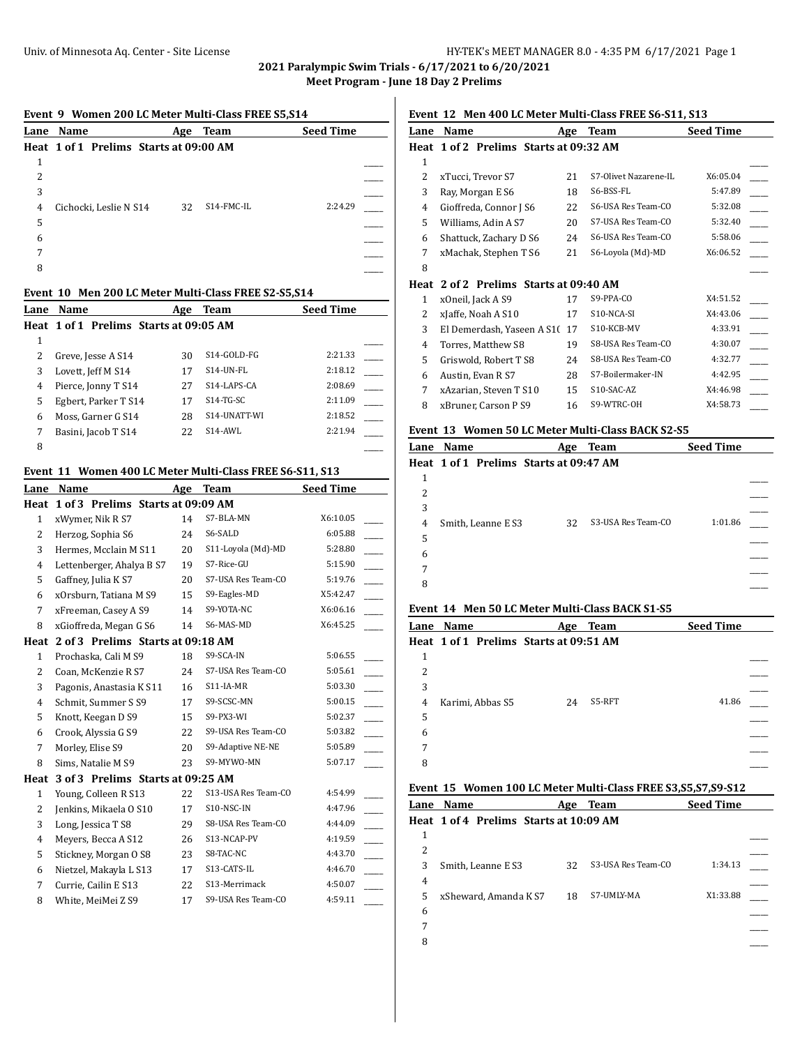**2021 Paralympic Swim Trials - 6/17/2021 to 6/20/2021 m** - June 18 Day 2 Prelims

|              | Event 9 Women 200 LC Meter Multi-Class FREE S5, S14<br>Lane Name   |          | Age Team                     | <b>Seed Time</b>   |
|--------------|--------------------------------------------------------------------|----------|------------------------------|--------------------|
|              | Heat 1 of 1 Prelims Starts at 09:00 AM                             |          |                              |                    |
| 1            |                                                                    |          |                              |                    |
| 2            |                                                                    |          |                              |                    |
| 3            |                                                                    |          |                              |                    |
| 4            | Cichocki, Leslie N S14                                             | 32       | S14-FMC-IL                   | 2:24.29            |
| 5            |                                                                    |          |                              |                    |
| 6            |                                                                    |          |                              |                    |
| 7            |                                                                    |          |                              |                    |
| 8            |                                                                    |          |                              |                    |
|              |                                                                    |          |                              |                    |
|              | Event 10 Men 200 LC Meter Multi-Class FREE S2-S5, S14<br>Lane Name |          | <b>Team</b>                  | <b>Seed Time</b>   |
|              | Heat 1 of 1 Prelims Starts at 09:05 AM                             | Age      |                              |                    |
| $\mathbf{1}$ |                                                                    |          |                              |                    |
| 2            | Greve, Jesse A S14                                                 | 30       | S14-GOLD-FG                  | 2:21.33            |
| 3            | Lovett, Jeff M S14                                                 | 17       | S14-UN-FL                    | 2:18.12            |
| 4            | Pierce, Jonny T S14                                                | 27       | S14-LAPS-CA                  | 2:08.69            |
| 5            | Egbert, Parker T S14                                               | 17       | S14-TG-SC                    | 2:11.09            |
| 6            | Moss, Garner G S14                                                 | 28       | S14-UNATT-WI                 | 2:18.52            |
| 7            | Basini, Jacob T S14                                                | 22       | S14-AWL                      | 2:21.94            |
| 8            |                                                                    |          |                              |                    |
|              |                                                                    |          |                              |                    |
|              |                                                                    |          |                              |                    |
|              | Event 11 Women 400 LC Meter Multi-Class FREE S6-S11, S13           |          |                              |                    |
|              | Lane Name                                                          |          | Age Team                     | <b>Seed Time</b>   |
|              | Heat 1 of 3 Prelims Starts at 09:09 AM                             |          |                              |                    |
| 1            | xWymer, Nik R S7                                                   | 14       | S7-BLA-MN                    | X6:10.05           |
| 2            | Herzog, Sophia S6                                                  | 24       | S6-SALD                      | 6:05.88            |
| 3            | Hermes, Mcclain M S11                                              | 20       | S11-Loyola (Md)-MD           | 5:28.80            |
| 4            | Lettenberger, Ahalya B S7                                          | 19       | S7-Rice-GU                   | 5:15.90            |
| 5            | Gaffney, Julia K S7                                                | 20       | S7-USA Res Team-CO           | 5:19.76            |
| 6            | xOrsburn, Tatiana M S9                                             | 15       | S9-Eagles-MD                 | X5:42.47           |
| 7            | xFreeman, Casey A S9                                               | 14       | S9-YOTA-NC                   | X6:06.16           |
| 8            | xGioffreda, Megan G S6                                             | 14       | S6-MAS-MD                    | X6:45.25           |
|              | Heat 2 of 3 Prelims Starts at 09:18 AM                             |          |                              |                    |
| 1            | Prochaska, Cali M S9                                               | 18       | S9-SCA-IN                    | 5:06.55            |
| 2            | Coan, McKenzie R S7                                                | 24       | S7-USA Res Team-CO           | 5:05.61            |
| 3            | Pagonis, Anastasia K S11                                           | 16       | S11-IA-MR                    | 5:03.30            |
| 4            | Schmit, Summer S S9                                                | 17       | S9-SCSC-MN                   | 5:00.15            |
| 5            | Knott, Keegan D S9                                                 | 15       | S9-PX3-WI                    | 5:02.37            |
| 6            | Crook, Alyssia G S9                                                | 22       | S9-USA Res Team-CO           | 5:03.82            |
| 7            | Morley, Elise S9                                                   | 20       | S9-Adaptive NE-NE            | 5:05.89            |
| 8            | Sims, Natalie M S9                                                 | 23       | S9-MYWO-MN                   | 5:07.17            |
|              | 3 of 3 Prelims Starts at 09:25 AM                                  |          |                              |                    |
| Heat<br>1    | Young, Colleen R S13                                               | 22       | S13-USA Res Team-CO          | 4:54.99            |
| 2            | Jenkins, Mikaela O S10                                             | 17       | S10-NSC-IN                   | 4:47.96            |
| 3            | Long, Jessica T S8                                                 | 29       | S8-USA Res Team-CO           | 4:44.09            |
| 4            | Meyers, Becca A S12                                                | 26       | S13-NCAP-PV                  | 4:19.59            |
| 5            | Stickney, Morgan O S8                                              | 23       | S8-TAC-NC                    | 4:43.70            |
| 6<br>7       | Nietzel, Makayla L S13<br>Currie, Cailin E S13                     | 17<br>22 | S13-CATS-IL<br>S13-Merrimack | 4:46.70<br>4:50.07 |

## **Event 12 Men 400 LC Meter Multi-Class FREE S6-S11, S13**

| Lane          | Name                              | Age | <b>Team</b>           | <b>Seed Time</b> |  |
|---------------|-----------------------------------|-----|-----------------------|------------------|--|
| Heat          | 1 of 2 Prelims Starts at 09:32 AM |     |                       |                  |  |
| 1             |                                   |     |                       |                  |  |
| $\mathcal{L}$ | xTucci, Trevor S7                 | 21  | S7-Olivet Nazarene-IL | X6:05.04         |  |
| 3             | Ray, Morgan E S6                  | 18  | S6-BSS-FL             | 5:47.89          |  |
| 4             | Gioffreda, Connor J S6            | 22  | S6-USA Res Team-CO    | 5:32.08          |  |
| 5             | Williams, Adin A S7               | 20  | S7-USA Res Team-CO    | 5:32.40          |  |
| 6             | Shattuck, Zachary D S6            | 24  | S6-USA Res Team-CO    | 5:58.06          |  |
| 7             | xMachak, Stephen T S6             | 21  | S6-Loyola (Md)-MD     | X6:06.52         |  |
| 8             |                                   |     |                       |                  |  |
| Heat          | 2 of 2 Prelims Starts at 09:40 AM |     |                       |                  |  |
| 1             | x0neil, Jack A S9                 | 17  | S9-PPA-CO             | X4:51.52         |  |
| 2             | xJaffe, Noah A S10                | 17  | S10-NCA-SI            | X4:43.06         |  |
| 3             | El Demerdash, Yaseen A S10        | 17  | S10-KCB-MV            | 4:33.91          |  |
| 4             | Torres, Matthew S8                | 19  | S8-USA Res Team-CO    | 4:30.07          |  |
| 5             | Griswold, Robert T S8             | 24  | S8-USA Res Team-CO    | 4:32.77          |  |
| 6             | Austin, Evan R S7                 | 28  | S7-Boilermaker-IN     | 4:42.95          |  |
| 7             | xAzarian, Steven T S10            | 15  | S10-SAC-AZ            | X4:46.98         |  |
| 8             | xBruner, Carson P S9              | 16  | S9-WTRC-OH            | X4:58.73         |  |
|               |                                   |     |                       |                  |  |

## **Event 13 Women 50 LC Meter Multi-Class BACK S2-S5**

|   | Lane Name                              | Age | Team               | <b>Seed Time</b> |  |
|---|----------------------------------------|-----|--------------------|------------------|--|
|   | Heat 1 of 1 Prelims Starts at 09:47 AM |     |                    |                  |  |
| 1 |                                        |     |                    |                  |  |
| 2 |                                        |     |                    |                  |  |
| 3 |                                        |     |                    |                  |  |
| 4 | Smith, Leanne E S3                     | 32  | S3-USA Res Team-CO | 1:01.86          |  |
| 5 |                                        |     |                    |                  |  |
| 6 |                                        |     |                    |                  |  |
| 7 |                                        |     |                    |                  |  |
| 8 |                                        |     |                    |                  |  |

# **Event 14 Men 50 LC Meter Multi-Class BACK S1-S5**

|                | Lane Name                              | Age | Team   | <b>Seed Time</b> |  |
|----------------|----------------------------------------|-----|--------|------------------|--|
|                | Heat 1 of 1 Prelims Starts at 09:51 AM |     |        |                  |  |
| 1              |                                        |     |        |                  |  |
| 2              |                                        |     |        |                  |  |
| 3              |                                        |     |        |                  |  |
| $\overline{4}$ | Karimi, Abbas S5                       | 24  | S5-RFT | 41.86            |  |
| 5              |                                        |     |        |                  |  |
| 6              |                                        |     |        |                  |  |
| 7              |                                        |     |        |                  |  |
| 8              |                                        |     |        |                  |  |

#### **Event 15 Women 100 LC Meter Multi-Class FREE S3,S5,S7,S9-S12**

| Lane | <b>Name</b>                            | Age | <b>Team</b>        | <b>Seed Time</b> |  |
|------|----------------------------------------|-----|--------------------|------------------|--|
|      | Heat 1 of 4 Prelims Starts at 10:09 AM |     |                    |                  |  |
| 1    |                                        |     |                    |                  |  |
| 2    |                                        |     |                    |                  |  |
| 3    | Smith, Leanne E S3                     | 32  | S3-USA Res Team-CO | 1:34.13          |  |
| 4    |                                        |     |                    |                  |  |
| 5    | xSheward, Amanda K S7                  | 18  | S7-UMLY-MA         | X1:33.88         |  |
| 6    |                                        |     |                    |                  |  |
| 7    |                                        |     |                    |                  |  |
| 8    |                                        |     |                    |                  |  |